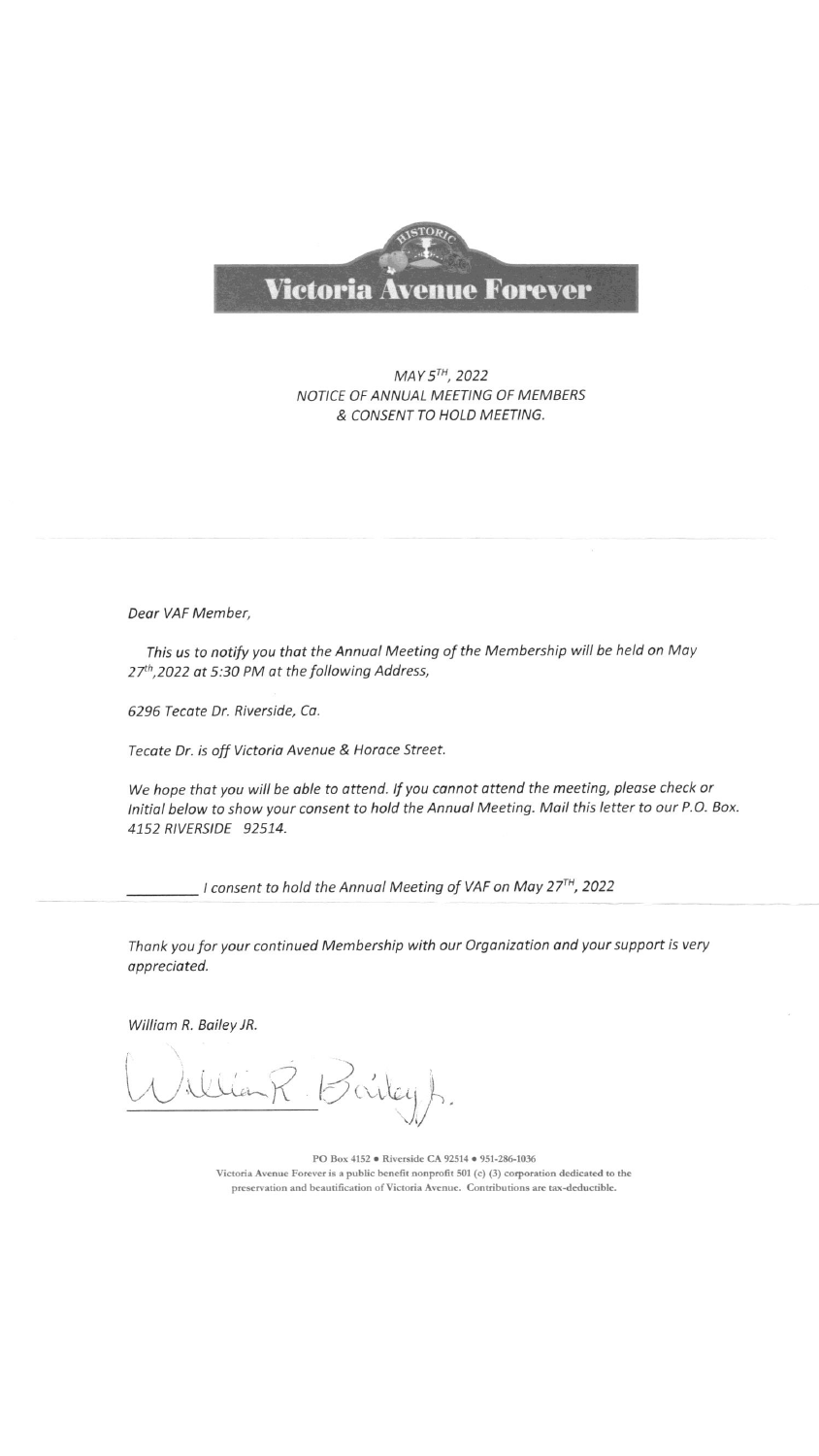

MAY 5TH, 2022 NOTICE OF ANNUAL MEETING OF MEMBERS & CONSENT TO HOLD MEETING.

Dear VAF Member,

This us to notify you that the Annual Meeting of the Membership will be held on May 27th, 2022 at 5:30 PM at the following Address,

6296 Tecate Dr. Riverside, Ca.

Tecate Dr. is off Victoria Avenue & Horace Street.

We hope that you will be able to attend. If you cannot attend the meeting, please check or Initial below to show your consent to hold the Annual Meeting. Mail this letter to our P.O. Box. 4152 RIVERSIDE 92514.

- I consent to hold the Annual Meeting of VAF on May 27<sup>TH</sup>, 2022

Thank you for your continued Membership with our Organization and your support is very appreciated.

William R. Bailey JR.

Poiky A.

PO Box 4152 · Riverside CA 92514 · 951-286-1036 Victoria Avenue Forever is a public benefit nonprofit 501 (c) (3) corporation dedicated to the preservation and beautification of Victoria Avenue. Contributions are tax-deductible.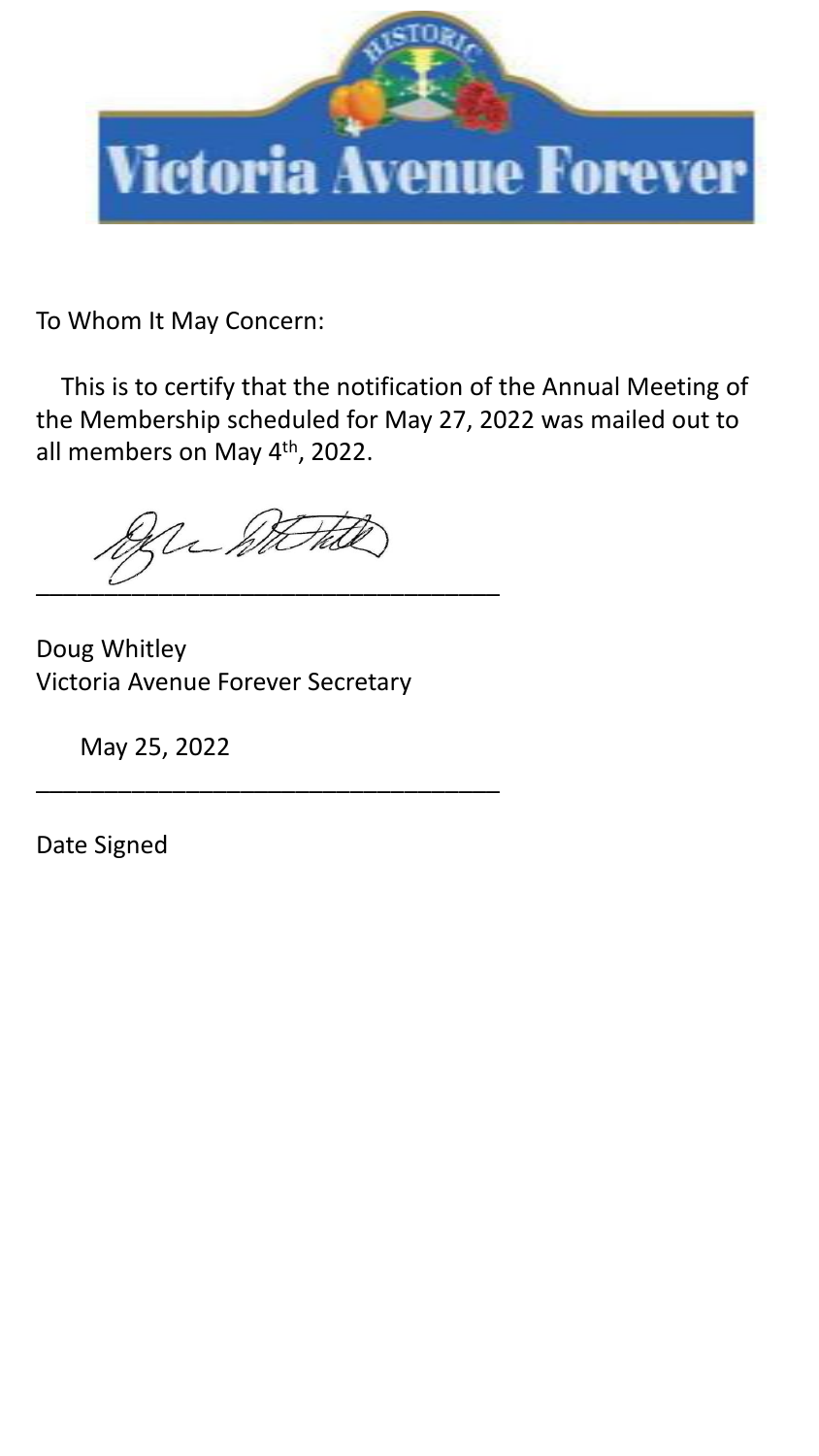

To Whom It May Concern:

This is to certify that the notification of the Annual Meeting of the Membership scheduled for May 27, 2022 was mailed out to all members on May 4<sup>th</sup>, 2022.

 $\overline{\phantom{a}}$  ,  $\overline{\phantom{a}}$  ,  $\overline{\phantom{a}}$  ,  $\overline{\phantom{a}}$  ,  $\overline{\phantom{a}}$  ,  $\overline{\phantom{a}}$  ,  $\overline{\phantom{a}}$  ,  $\overline{\phantom{a}}$  ,  $\overline{\phantom{a}}$  ,  $\overline{\phantom{a}}$  ,  $\overline{\phantom{a}}$  ,  $\overline{\phantom{a}}$  ,  $\overline{\phantom{a}}$  ,  $\overline{\phantom{a}}$  ,  $\overline{\phantom{a}}$  ,  $\overline{\phantom{a}}$ 

\_\_\_\_\_\_\_\_\_\_\_\_\_\_\_\_\_\_\_\_\_\_\_\_\_\_\_\_\_\_\_\_\_\_

Doug Whitley Victoria Avenue Forever Secretary

May 25, 2022

Date Signed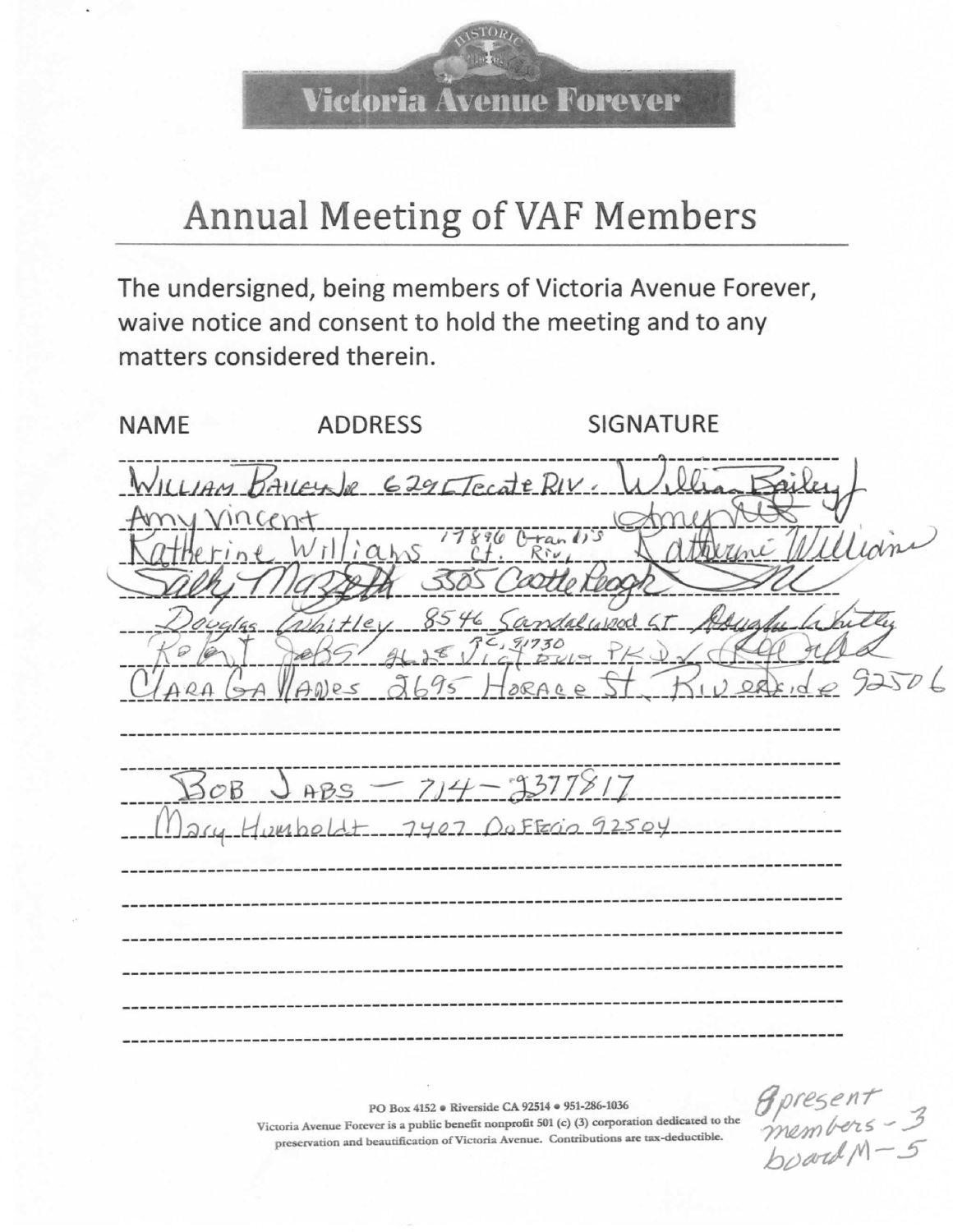Victoria Ävenue Forever

## Annual Meeting of VAF Members

The undersigned, being members of Victoria Avenue Forever, waive notice and consent to hold the meeting and to any matters considered therein.

| <b>NAME</b> | <b>ADDRESS</b>                                                                                              | <b>SIGNATURE</b>                  |      |
|-------------|-------------------------------------------------------------------------------------------------------------|-----------------------------------|------|
| ny Vincent  | WILLIAM BALLEYNE 629 Fecate RIV.<br>$erricent$<br>erine Williams $2f$ . River<br>Whitley 8546 Sandalyson GT | Sel<br>9688767730                 | Uian |
|             | $3008$ JABS - 714-9377817                                                                                   | 0<br>Anes 2695 HORACE ST KID      |      |
|             |                                                                                                             | Mary Humbeldt 7407 DoFFECin 92504 |      |
|             |                                                                                                             |                                   |      |

PO Box 4152 · Riverside CA 92514 · 951-286-1036

Victoria Avenue Forever is a public benefit nonprofit 501 (c) (3) corporation dedicated to the preservation and beautification of Victoria Avenue. Contributions are tax-deductible.

Apresent<br>members - 3<br>board M - 5